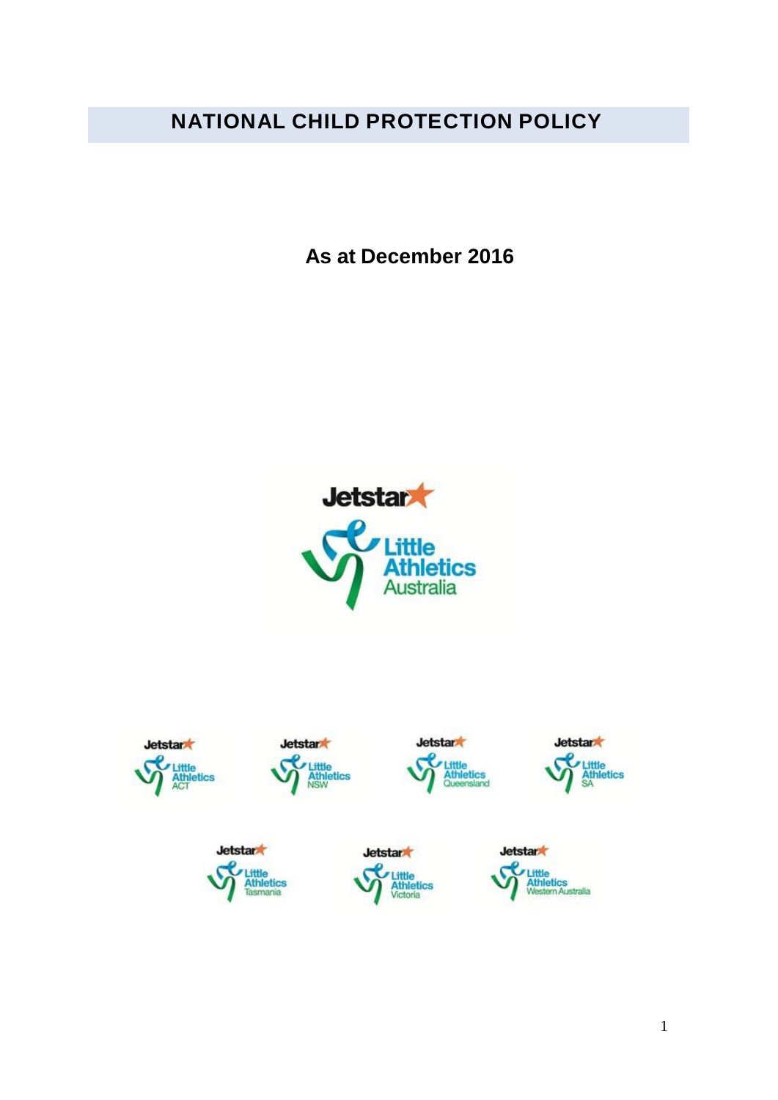# **NATIONAL CHILD PROTECTION POLICY**

**As at December 2016**



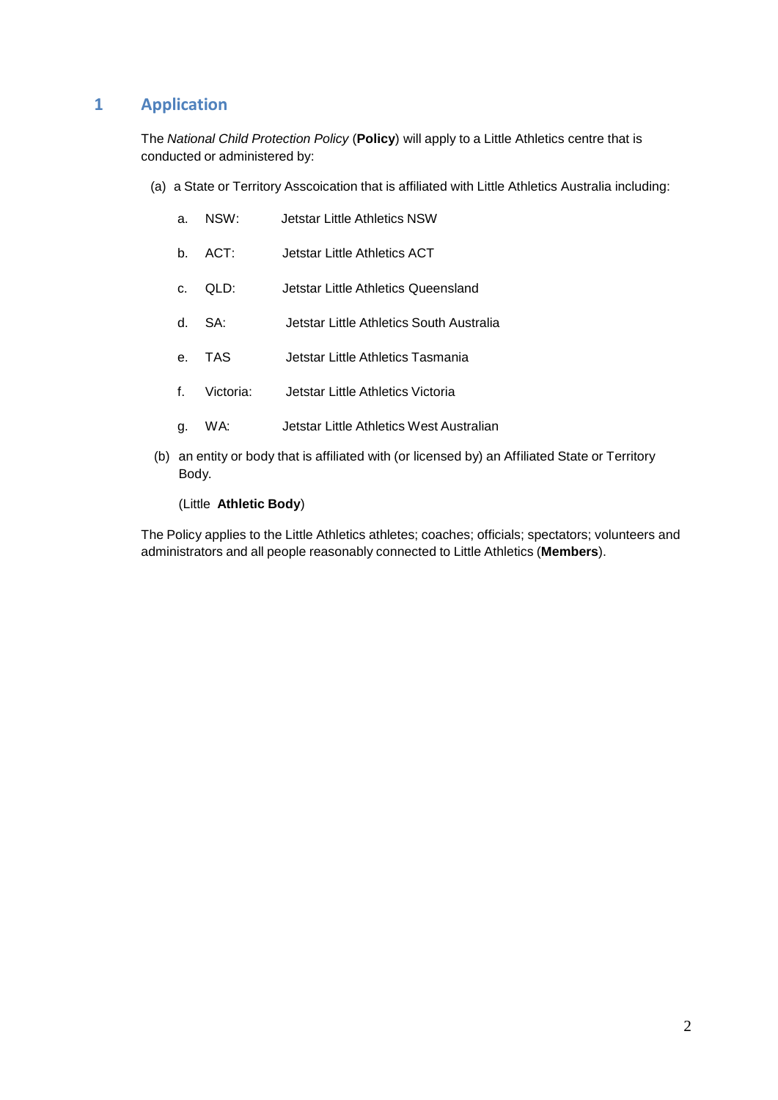## **1 Application**

The *National Child Protection Policy* (**Policy**) will apply to a Little Athletics centre that is conducted or administered by:

(a) a State or Territory Asscoication that is affiliated with Little Athletics Australia including:

| a. | NSW: | <b>Jetstar Little Athletics NSW</b> |
|----|------|-------------------------------------|
|    |      |                                     |

- b. ACT: Jetstar Little Athletics ACT
- c. QLD: Jetstar Little Athletics Queensland
- d. SA: Jetstar Little Athletics South Australia
- e. TAS Jetstar Little Athletics Tasmania
- f. Victoria: Jetstar Little Athletics Victoria
- g. WA: Jetstar Little Athletics West Australian
- (b) an entity or body that is affiliated with (or licensed by) an Affiliated State or Territory Body.

(Little **Athletic Body**)

The Policy applies to the Little Athletics athletes; coaches; officials; spectators; volunteers and administrators and all people reasonably connected to Little Athletics (**Members**).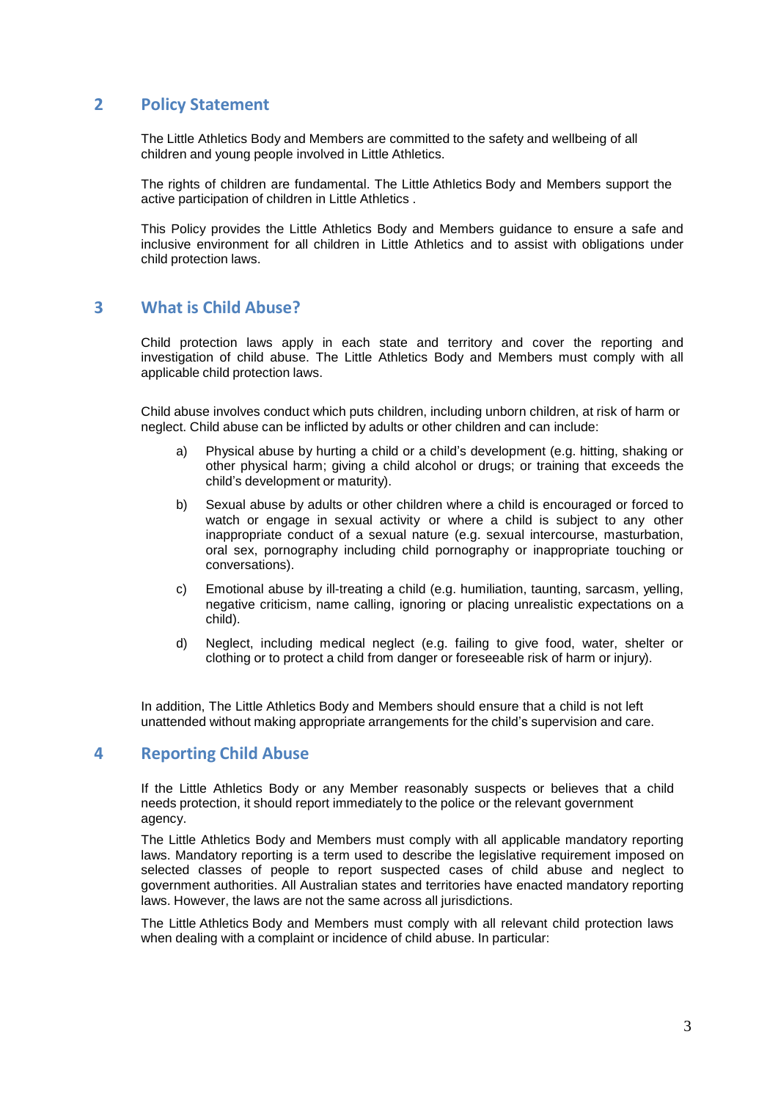### **2 Policy Statement**

The Little Athletics Body and Members are committed to the safety and wellbeing of all children and young people involved in Little Athletics.

The rights of children are fundamental. The Little Athletics Body and Members support the active participation of children in Little Athletics .

This Policy provides the Little Athletics Body and Members guidance to ensure a safe and inclusive environment for all children in Little Athletics and to assist with obligations under child protection laws.

#### **3 What is Child Abuse?**

Child protection laws apply in each state and territory and cover the reporting and investigation of child abuse. The Little Athletics Body and Members must comply with all applicable child protection laws.

Child abuse involves conduct which puts children, including unborn children, at risk of harm or neglect. Child abuse can be inflicted by adults or other children and can include:

- a) Physical abuse by hurting a child or a child's development (e.g. hitting, shaking or other physical harm; giving a child alcohol or drugs; or training that exceeds the child's development or maturity).
- b) Sexual abuse by adults or other children where a child is encouraged or forced to watch or engage in sexual activity or where a child is subject to any other inappropriate conduct of a sexual nature (e.g. sexual intercourse, masturbation, oral sex, pornography including child pornography or inappropriate touching or conversations).
- c) Emotional abuse by ill-treating a child (e.g. humiliation, taunting, sarcasm, yelling, negative criticism, name calling, ignoring or placing unrealistic expectations on a child).
- d) Neglect, including medical neglect (e.g. failing to give food, water, shelter or clothing or to protect a child from danger or foreseeable risk of harm or injury).

In addition, The Little Athletics Body and Members should ensure that a child is not left unattended without making appropriate arrangements for the child's supervision and care.

#### **4 Reporting Child Abuse**

If the Little Athletics Body or any Member reasonably suspects or believes that a child needs protection, it should report immediately to the police or the relevant government agency.

The Little Athletics Body and Members must comply with all applicable mandatory reporting laws. Mandatory reporting is a term used to describe the legislative requirement imposed on selected classes of people to report suspected cases of child abuse and neglect to government authorities. All Australian states and territories have enacted mandatory reporting laws. However, the laws are not the same across all jurisdictions.

The Little Athletics Body and Members must comply with all relevant child protection laws when dealing with a complaint or incidence of child abuse. In particular: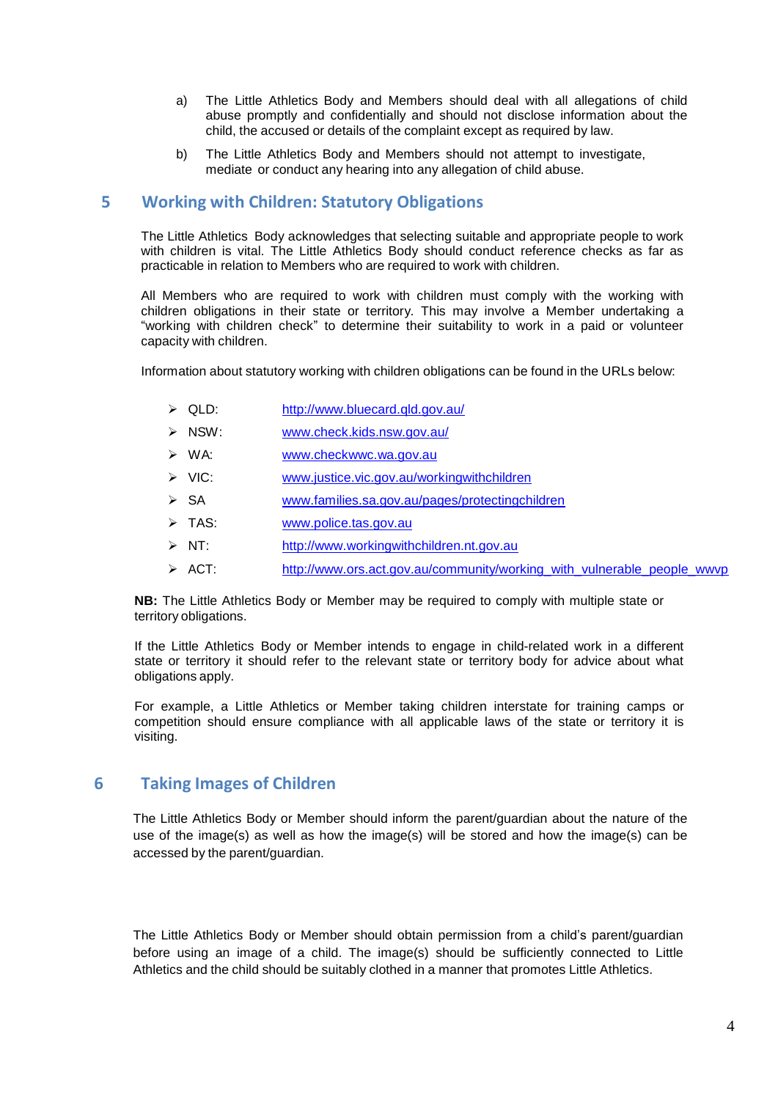- a) The Little Athletics Body and Members should deal with all allegations of child abuse promptly and confidentially and should not disclose information about the child, the accused or details of the complaint except as required by law.
- b) The Little Athletics Body and Members should not attempt to investigate, mediate or conduct any hearing into any allegation of child abuse.

#### **5 Working with Children: Statutory Obligations**

The Little Athletics Body acknowledges that selecting suitable and appropriate people to work with children is vital. The Little Athletics Body should conduct reference checks as far as practicable in relation to Members who are required to work with children.

All Members who are required to work with children must comply with the working with children obligations in their state or territory. This may involve a Member undertaking a "working with children check" to determine their suitability to work in a paid or volunteer capacity with children.

Information about statutory working with children obligations can be found in the URLs below:

- QLD: <http://www.bluecard.qld.gov.au/>
- NSW: [www.check.kids.nsw.gov.au/](http://www.check.kids.nsw.gov.au/)
- WA: [www.checkwwc.wa.gov.au](http://www.checkwwc.wa.gov.au/)
- ▶ VIC: [www.justice.vic.gov.au/workingwithchildren](http://www.justice.vic.gov.au/workingwithchildren)
- SA [www.families.sa.gov.au/pages/protectingchildren](http://www.families.sa.gov.au/pages/protectingchildren)
- > TAS: [www.police.tas.gov.au](http://www.police.tas.gov.au/)
- $> NT$ : [http://www.workingwithchildren.nt.gov.au](http://www.workingwithchildren.nt.gov.au/)
- $\triangleright$  ACT: [http://www.ors.act.gov.au/community/working\\_with\\_vulnerable\\_people\\_wwvp](http://www.legislation.act.gov.au/isysquery/search.asp)

**NB:** The Little Athletics Body or Member may be required to comply with multiple state or territory obligations.

If the Little Athletics Body or Member intends to engage in child-related work in a different state or territory it should refer to the relevant state or territory body for advice about what obligations apply.

For example, a Little Athletics or Member taking children interstate for training camps or competition should ensure compliance with all applicable laws of the state or territory it is visiting.

#### **6 Taking Images of Children**

The Little Athletics Body or Member should inform the parent/guardian about the nature of the use of the image(s) as well as how the [image\(s\)](http://www.aflcommunityclub.com.au/) will be [stored](http://www.afl.com.au/privacy) and how the image(s) can be accessed by the parent/guardian.

The Little Athletics Body or Member should obtain permission from a child's parent/guardian before using an image of a child. The image(s) should be sufficiently connected to Little Athletics and the child should be suitably clothed in a manner that promotes Little Athletics.